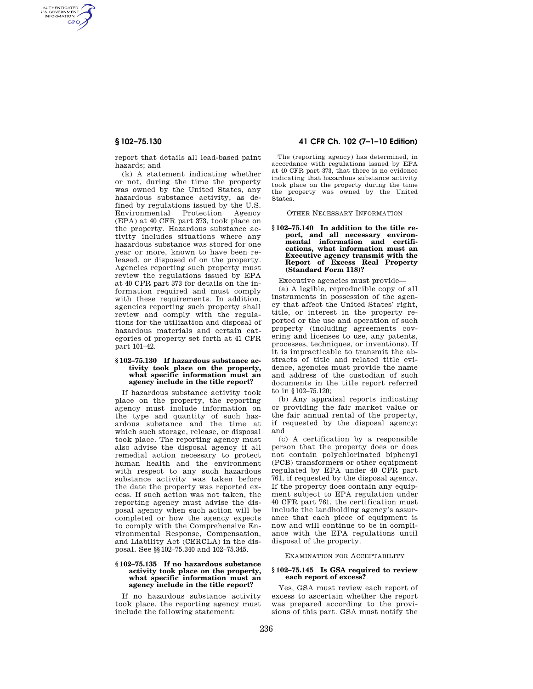AUTHENTICATED<br>U.S. GOVERNMENT<br>INFORMATION **GPO** 

> report that details all lead-based paint hazards; and

> (k) A statement indicating whether or not, during the time the property was owned by the United States, any hazardous substance activity, as defined by regulations issued by the U.S. Environmental Protection Agency (EPA) at 40 CFR part 373, took place on the property. Hazardous substance activity includes situations where any hazardous substance was stored for one year or more, known to have been released, or disposed of on the property. Agencies reporting such property must review the regulations issued by EPA at 40 CFR part 373 for details on the information required and must comply with these requirements. In addition, agencies reporting such property shall review and comply with the regulations for the utilization and disposal of hazardous materials and certain categories of property set forth at 41 CFR part 101–42.

## **§ 102–75.130 If hazardous substance activity took place on the property, what specific information must an agency include in the title report?**

If hazardous substance activity took place on the property, the reporting agency must include information on the type and quantity of such hazardous substance and the time at which such storage, release, or disposal took place. The reporting agency must also advise the disposal agency if all remedial action necessary to protect human health and the environment with respect to any such hazardous substance activity was taken before the date the property was reported excess. If such action was not taken, the reporting agency must advise the disposal agency when such action will be completed or how the agency expects to comply with the Comprehensive Environmental Response, Compensation, and Liability Act (CERCLA) in the disposal. See §§102–75.340 and 102–75.345.

## **§ 102–75.135 If no hazardous substance activity took place on the property, what specific information must an agency include in the title report?**

If no hazardous substance activity took place, the reporting agency must include the following statement:

# **§ 102–75.130 41 CFR Ch. 102 (7–1–10 Edition)**

The (reporting agency) has determined, in accordance with regulations issued by EPA at 40 CFR part 373, that there is no evidence indicating that hazardous substance activity took place on the property during the time the property was owned by the United States.

OTHER NECESSARY INFORMATION

## **§ 102–75.140 In addition to the title report, and all necessary environmental information and certifications, what information must an Executive agency transmit with the Report of Excess Real Property (Standard Form 118)?**

Executive agencies must provide—

(a) A legible, reproducible copy of all instruments in possession of the agency that affect the United States' right, title, or interest in the property reported or the use and operation of such property (including agreements covering and licenses to use, any patents, processes, techniques, or inventions). If it is impracticable to transmit the abstracts of title and related title evidence, agencies must provide the name and address of the custodian of such documents in the title report referred to in §102–75.120;

(b) Any appraisal reports indicating or providing the fair market value or the fair annual rental of the property, if requested by the disposal agency; and

(c) A certification by a responsible person that the property does or does not contain polychlorinated biphenyl (PCB) transformers or other equipment regulated by EPA under 40 CFR part 761, if requested by the disposal agency. If the property does contain any equipment subject to EPA regulation under 40 CFR part 761, the certification must include the landholding agency's assurance that each piece of equipment is now and will continue to be in compliance with the EPA regulations until disposal of the property.

## EXAMINATION FOR ACCEPTABILITY

## **§ 102–75.145 Is GSA required to review each report of excess?**

Yes, GSA must review each report of excess to ascertain whether the report was prepared according to the provisions of this part. GSA must notify the